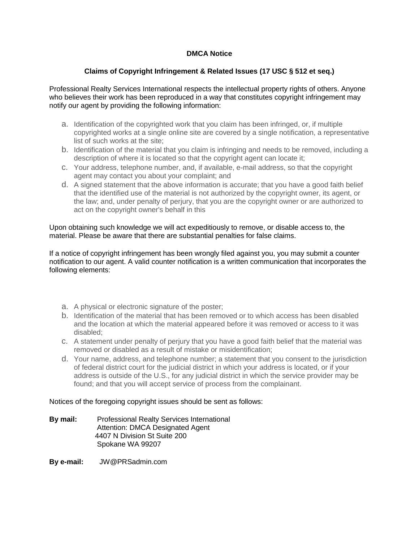## **DMCA Notice**

## **Claims of Copyright Infringement & Related Issues (17 USC § 512 et seq.)**

Professional Realty Services International respects the intellectual property rights of others. Anyone who believes their work has been reproduced in a way that constitutes copyright infringement may notify our agent by providing the following information:

- **a.** Identification of the copyrighted work that you claim has been infringed, or, if multiple copyrighted works at a single online site are covered by a single notification, a representative list of such works at the site;
- **b.** Identification of the material that you claim is infringing and needs to be removed, including a description of where it is located so that the copyright agent can locate it;
- **c.** Your address, telephone number, and, if available, e-mail address, so that the copyright agent may contact you about your complaint; and
- **d.** A signed statement that the above information is accurate; that you have a good faith belief that the identified use of the material is not authorized by the copyright owner, its agent, or the law; and, under penalty of perjury, that you are the copyright owner or are authorized to act on the copyright owner's behalf in this

Upon obtaining such knowledge we will act expeditiously to remove, or disable access to, the material. Please be aware that there are substantial penalties for false claims.

If a notice of copyright infringement has been wrongly filed against you, you may submit a counter notification to our agent. A valid counter notification is a written communication that incorporates the following elements:

- **a.** A physical or electronic signature of the poster;
- **b.** Identification of the material that has been removed or to which access has been disabled and the location at which the material appeared before it was removed or access to it was disabled;
- **c.** A statement under penalty of perjury that you have a good faith belief that the material was removed or disabled as a result of mistake or misidentification;
- **d.** Your name, address, and telephone number; a statement that you consent to the jurisdiction of federal district court for the judicial district in which your address is located, or if your address is outside of the U.S., for any judicial district in which the service provider may be found; and that you will accept service of process from the complainant.

Notices of the foregoing copyright issues should be sent as follows:

**By mail:** Professional Realty Services International Attention: DMCA Designated Agent 4407 N Division St Suite 200 Spokane WA 99207

**By e-mail:** JW@PRSadmin.com